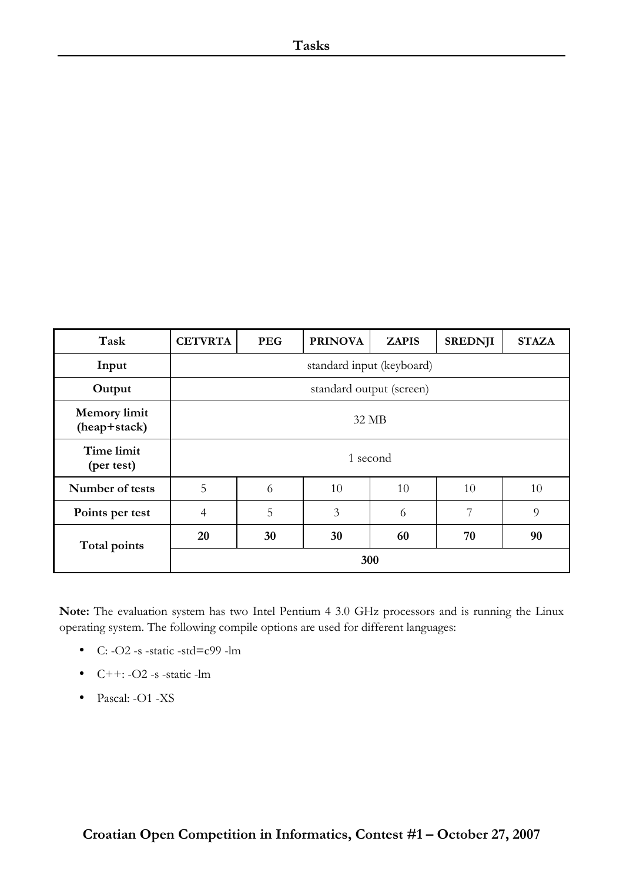| Task                                | <b>CETVRTA</b>            | <b>PEG</b> | <b>PRINOVA</b> | <b>ZAPIS</b> | <b>SREDNJI</b> | <b>STAZA</b> |
|-------------------------------------|---------------------------|------------|----------------|--------------|----------------|--------------|
| Input                               | standard input (keyboard) |            |                |              |                |              |
| Output                              | standard output (screen)  |            |                |              |                |              |
| <b>Memory</b> limit<br>(heap+stack) | 32 MB                     |            |                |              |                |              |
| Time limit<br>(per test)            | 1 second                  |            |                |              |                |              |
| Number of tests                     | 5                         | 6          | 10             | 10           | 10             | 10           |
| Points per test                     | $\overline{4}$            | 5          | 3              | 6            | 7              | 9            |
| Total points                        | 20                        | 30         | 30             | 60           | 70             | 90           |
|                                     | 300                       |            |                |              |                |              |

**Note:** The evaluation system has two Intel Pentium 4 3.0 GHz processors and is running the Linux operating system. The following compile options are used for different languages:

- C:  $-O2 s static std = c99 lm$
- $\bullet$  C++: -O2 -s -static -lm
- Pascal: -O1 -XS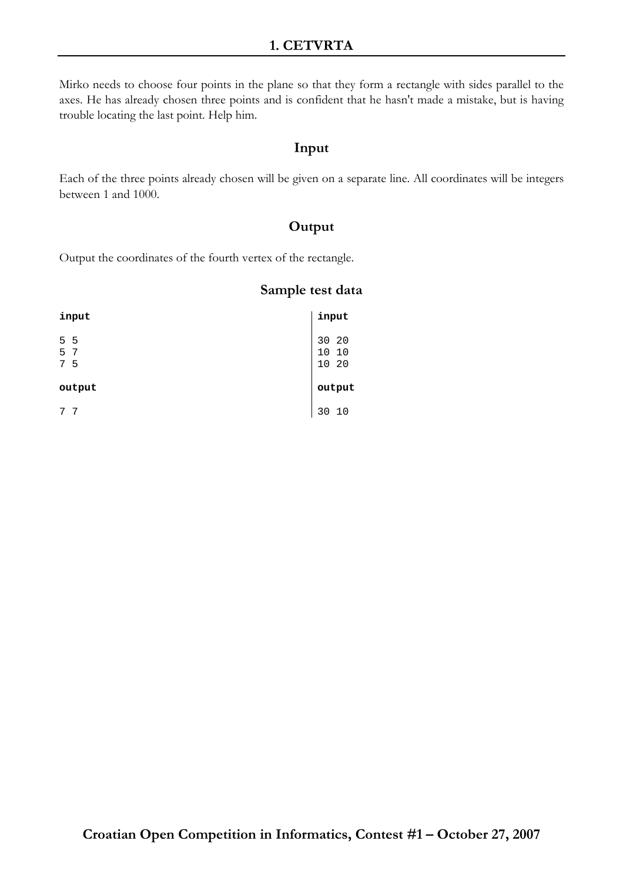# **1. CETVRTA**

Mirko needs to choose four points in the plane so that they form a rectangle with sides parallel to the axes. He has already chosen three points and is confident that he hasn't made a mistake, but is having trouble locating the last point. Help him.

# **Input**

Each of the three points already chosen will be given on a separate line. All coordinates will be integers between 1 and 1000.

# **Output**

Output the coordinates of the fourth vertex of the rectangle.

| input  | input  |
|--------|--------|
| 5 5    | 30 20  |
| 5 7    | 10 10  |
| 7 5    | 10 20  |
| output | output |
| -7     | 10     |
| 7      | 30     |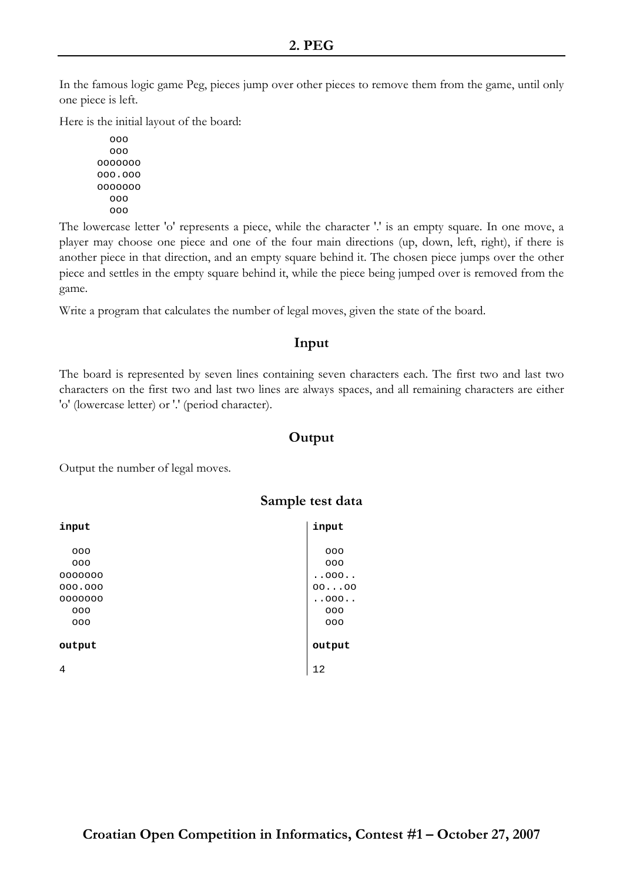In the famous logic game Peg, pieces jump over other pieces to remove them from the game, until only one piece is left.

Here is the initial layout of the board:

```
 ooo 
    ooo 
ooooooo 
ooo.ooo 
ooooooo 
    ooo 
    ooo
```
The lowercase letter 'o' represents a piece, while the character '.' is an empty square. In one move, a player may choose one piece and one of the four main directions (up, down, left, right), if there is another piece in that direction, and an empty square behind it. The chosen piece jumps over the other piece and settles in the empty square behind it, while the piece being jumped over is removed from the game.

Write a program that calculates the number of legal moves, given the state of the board.

### **Input**

The board is represented by seven lines containing seven characters each. The first two and last two characters on the first two and last two lines are always spaces, and all remaining characters are either 'o' (lowercase letter) or '.' (period character).

## **Output**

Output the number of legal moves.

| input   | input  |
|---------|--------|
|         |        |
| 000     | 000    |
| 000     | 000    |
| 0000000 | .000.  |
| 000.000 | 0000   |
| 0000000 | .000.  |
| 000     | 000    |
| 000     | 000    |
|         |        |
| output  | output |
| 4       | 12     |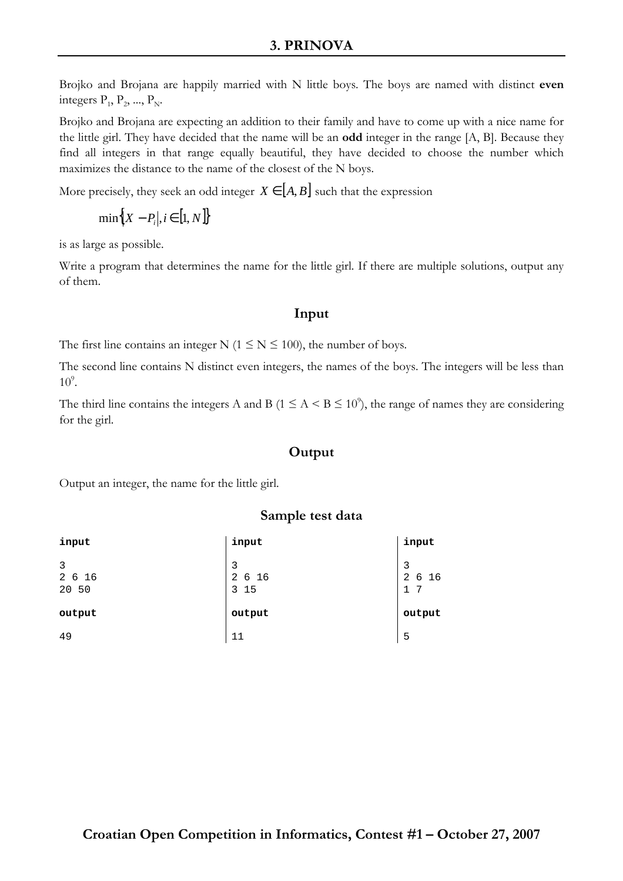Brojko and Brojana are happily married with N little boys. The boys are named with distinct **even** integers  $P_1$ ,  $P_2$ , ...,  $P_N$ .

Brojko and Brojana are expecting an addition to their family and have to come up with a nice name for the little girl. They have decided that the name will be an **odd** integer in the range [A, B]. Because they find all integers in that range equally beautiful, they have decided to choose the number which maximizes the distance to the name of the closest of the N boys.

More precisely, they seek an odd integer  $X \in [A, B]$  such that the expression

$$
\min\Bigl\{X-P_i\bigl|i\in [1,N]\Bigr\}
$$

is as large as possible.

Write a program that determines the name for the little girl. If there are multiple solutions, output any of them.

# **Input**

The first line contains an integer N ( $1 \le N \le 100$ ), the number of boys.

The second line contains N distinct even integers, the names of the boys. The integers will be less than  $10^9$ .

The third line contains the integers A and B ( $1 \le A < B \le 10^{\circ}$ ), the range of names they are considering for the girl.

## **Output**

Output an integer, the name for the little girl.

| input                | input                               | input                             |
|----------------------|-------------------------------------|-----------------------------------|
| 3<br>2 6 16<br>20 50 | 3<br>$\overline{a}$<br>6 16<br>3 15 | 3<br>$\overline{a}$<br>6 16<br>17 |
| output               | output                              | output                            |
| 49                   | 11                                  | 5                                 |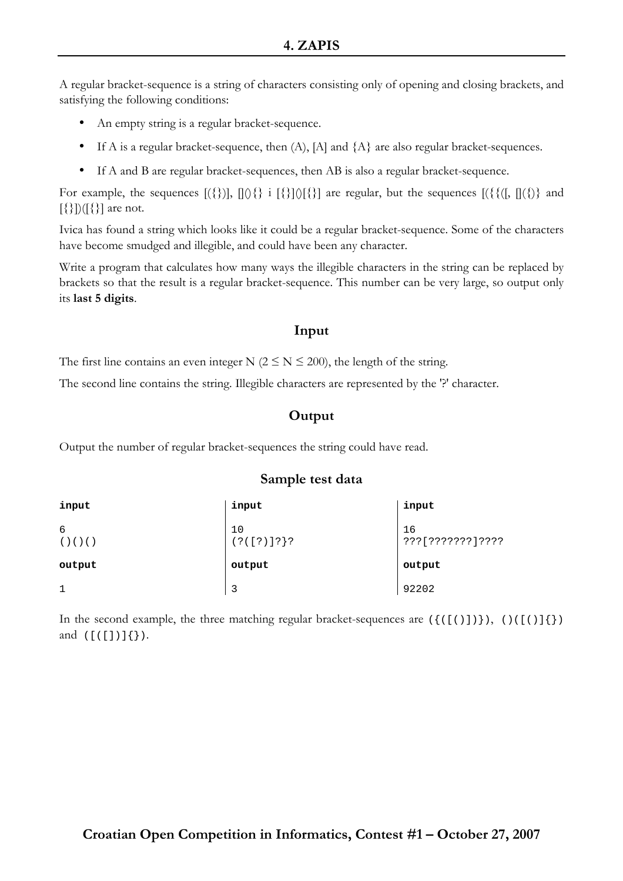A regular bracket-sequence is a string of characters consisting only of opening and closing brackets, and satisfying the following conditions:

- An empty string is a regular bracket-sequence.
- If A is a regular bracket-sequence, then  $(A)$ ,  $[A]$  and  $\{A\}$  are also regular bracket-sequences.
- If A and B are regular bracket-sequences, then AB is also a regular bracket-sequence.

For example, the sequences  $[(\{\})]$ ,  $[0]\}$  i  $[\{\}0\]$  are regular, but the sequences  $[(\{\{([, [](\})\}$  and [{}])([{}] are not.

Ivica has found a string which looks like it could be a regular bracket-sequence. Some of the characters have become smudged and illegible, and could have been any character.

Write a program that calculates how many ways the illegible characters in the string can be replaced by brackets so that the result is a regular bracket-sequence. This number can be very large, so output only its **last 5 digits**.

#### **Input**

The first line contains an even integer N ( $2 \le N \le 200$ ), the length of the string.

The second line contains the string. Illegible characters are represented by the '?' character.

### **Output**

Output the number of regular bracket-sequences the string could have read.

#### **Sample test data**

| input            | input                    | input                  |
|------------------|--------------------------|------------------------|
| 6<br>( ) ( ) ( ) | 10<br>$( ? ([ ? ) ] ? }$ | 16<br>???[???????]???? |
| output           | output                   | output                 |
| $\mathbf{1}$     | 3                        | 92202                  |

In the second example, the three matching regular bracket-sequences are  $(\{(1,1)\},\{(1,1)\})$ and  $([([])]\{\})$ .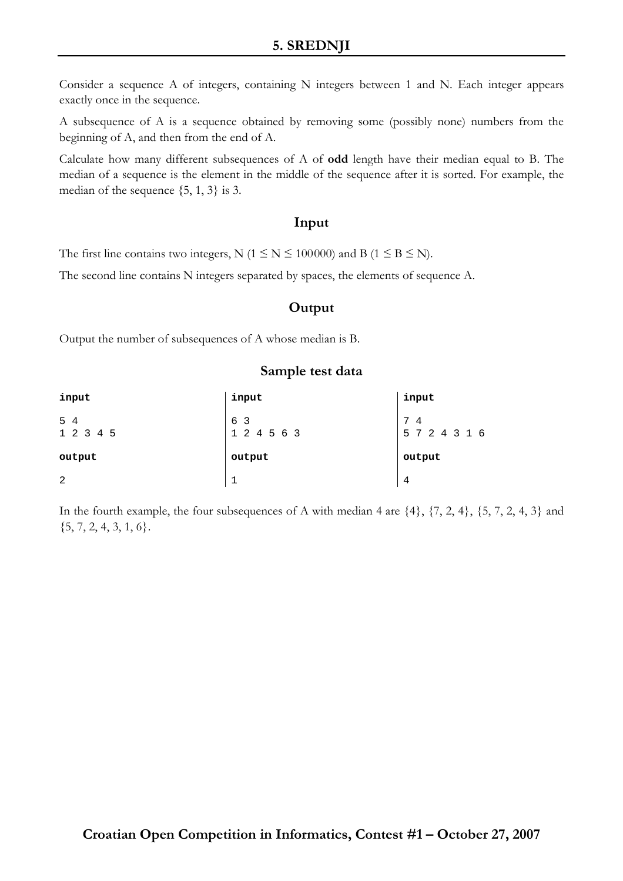Consider a sequence A of integers, containing N integers between 1 and N. Each integer appears exactly once in the sequence.

A subsequence of A is a sequence obtained by removing some (possibly none) numbers from the beginning of A, and then from the end of A.

Calculate how many different subsequences of A of **odd** length have their median equal to B. The median of a sequence is the element in the middle of the sequence after it is sorted. For example, the median of the sequence  $\{5, 1, 3\}$  is 3.

#### **Input**

The first line contains two integers, N ( $1 \le N \le 100000$ ) and B ( $1 \le B \le N$ ).

The second line contains N integers separated by spaces, the elements of sequence A.

## **Output**

Output the number of subsequences of A whose median is B.

#### **Sample test data**

| input            | input              | input                   |
|------------------|--------------------|-------------------------|
| 5 4<br>1 2 3 4 5 | 6 3<br>1 2 4 5 6 3 | 7<br>4<br>5 7 2 4 3 1 6 |
| output           | output             | output                  |
| 2                |                    | 4                       |

In the fourth example, the four subsequences of A with median 4 are  $\{4\}$ ,  $\{7, 2, 4\}$ ,  $\{5, 7, 2, 4, 3\}$  and  ${5, 7, 2, 4, 3, 1, 6}.$